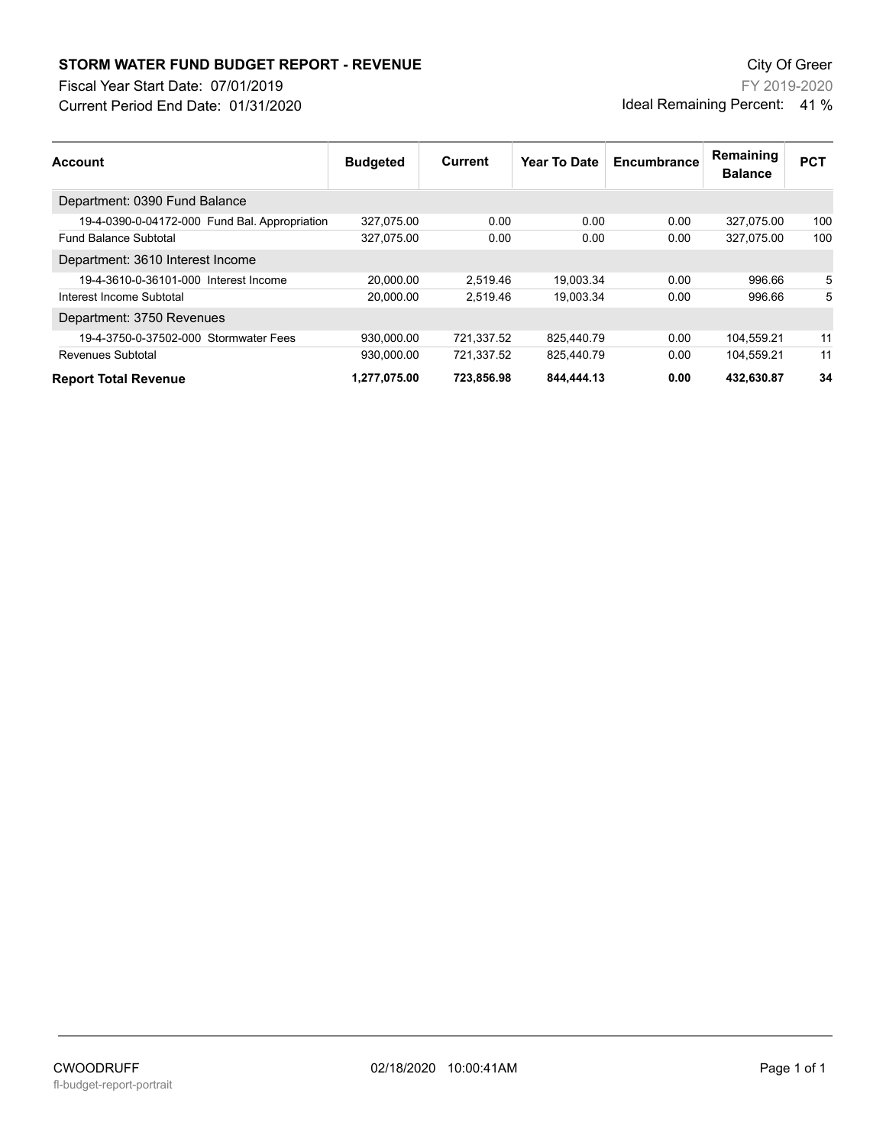## **STORM WATER FUND BUDGET REPORT - REVENUE City Of Green** City Of Green

Fiscal Year Start Date: 07/01/2019

Current Period End Date: 01/31/2020

FY 2019-2020 Ideal Remaining Percent: 41 %

| <b>Account</b>                                | <b>Budgeted</b> | Current    | Year To Date | Encumbrance | Remaining<br><b>Balance</b> | <b>PCT</b> |
|-----------------------------------------------|-----------------|------------|--------------|-------------|-----------------------------|------------|
| Department: 0390 Fund Balance                 |                 |            |              |             |                             |            |
| 19-4-0390-0-04172-000 Fund Bal. Appropriation | 327.075.00      | 0.00       | 0.00         | 0.00        | 327.075.00                  | 100        |
| <b>Fund Balance Subtotal</b>                  | 327,075.00      | 0.00       | 0.00         | 0.00        | 327.075.00                  | 100        |
| Department: 3610 Interest Income              |                 |            |              |             |                             |            |
| 19-4-3610-0-36101-000 Interest Income         | 20.000.00       | 2.519.46   | 19.003.34    | 0.00        | 996.66                      | 5          |
| Interest Income Subtotal                      | 20.000.00       | 2.519.46   | 19,003.34    | 0.00        | 996.66                      | 5          |
| Department: 3750 Revenues                     |                 |            |              |             |                             |            |
| 19-4-3750-0-37502-000 Stormwater Fees         | 930.000.00      | 721.337.52 | 825.440.79   | 0.00        | 104,559.21                  | 11         |
| Revenues Subtotal                             | 930.000.00      | 721.337.52 | 825.440.79   | 0.00        | 104.559.21                  | 11         |
| <b>Report Total Revenue</b>                   | 1,277,075.00    | 723,856.98 | 844,444.13   | 0.00        | 432,630.87                  | 34         |